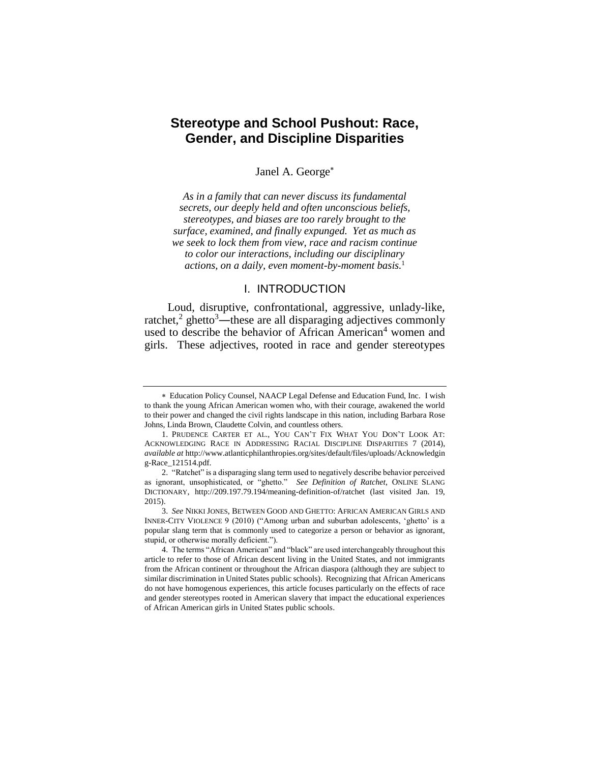# **Stereotype and School Pushout: Race, Gender, and Discipline Disparities**

Janel A. George

*As in a family that can never discuss its fundamental secrets, our deeply held and often unconscious beliefs, stereotypes, and biases are too rarely brought to the surface, examined, and finally expunged. Yet as much as we seek to lock them from view, race and racism continue to color our interactions, including our disciplinary actions, on a daily, even moment-by-moment basis.*<sup>1</sup>

#### I. INTRODUCTION

Loud, disruptive, confrontational, aggressive, unlady-like, ratchet,<sup>2</sup> ghetto<sup>3</sup>—these are all disparaging adjectives commonly used to describe the behavior of African American<sup>4</sup> women and girls. These adjectives, rooted in race and gender stereotypes

Education Policy Counsel, NAACP Legal Defense and Education Fund, Inc. I wish to thank the young African American women who, with their courage, awakened the world to their power and changed the civil rights landscape in this nation, including Barbara Rose Johns, Linda Brown, Claudette Colvin, and countless others.

<sup>1.</sup> PRUDENCE CARTER ET AL., YOU CAN'T FIX WHAT YOU DON'T LOOK AT: ACKNOWLEDGING RACE IN ADDRESSING RACIAL DISCIPLINE DISPARITIES 7 (2014), *available at* http://www.atlanticphilanthropies.org/sites/default/files/uploads/Acknowledgin g-Race\_121514.pdf.

<sup>2.</sup> "Ratchet" is a disparaging slang term used to negatively describe behavior perceived as ignorant, unsophisticated, or "ghetto." *See Definition of Ratchet*, ONLINE SLANG DICTIONARY, http://209.197.79.194/meaning-definition-of/ratchet (last visited Jan. 19, 2015).

<sup>3.</sup> *See* NIKKI JONES, BETWEEN GOOD AND GHETTO: AFRICAN AMERICAN GIRLS AND INNER-CITY VIOLENCE 9 (2010) ("Among urban and suburban adolescents, 'ghetto' is a popular slang term that is commonly used to categorize a person or behavior as ignorant, stupid, or otherwise morally deficient.").

<sup>4.</sup> The terms "African American" and "black" are used interchangeably throughout this article to refer to those of African descent living in the United States, and not immigrants from the African continent or throughout the African diaspora (although they are subject to similar discrimination in United States public schools). Recognizing that African Americans do not have homogenous experiences, this article focuses particularly on the effects of race and gender stereotypes rooted in American slavery that impact the educational experiences of African American girls in United States public schools.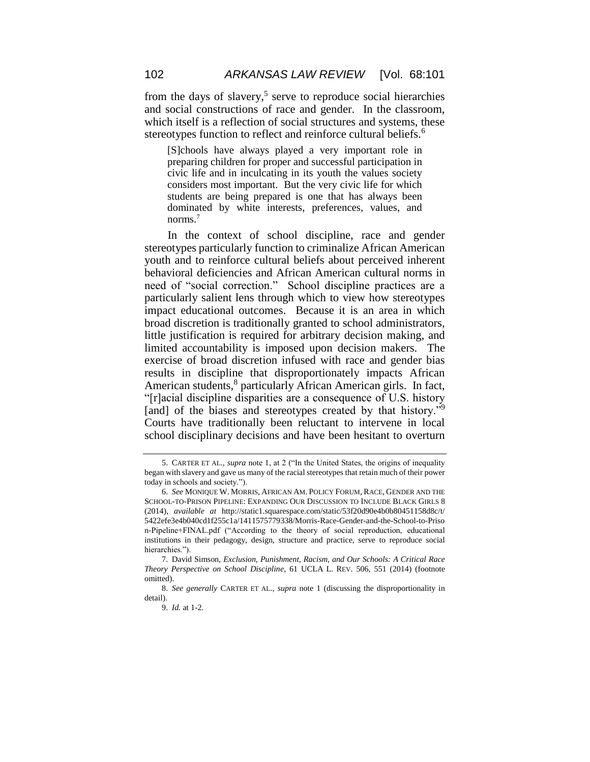from the days of slavery,<sup>5</sup> serve to reproduce social hierarchies and social constructions of race and gender. In the classroom, which itself is a reflection of social structures and systems, these stereotypes function to reflect and reinforce cultural beliefs.<sup>6</sup>

[S]chools have always played a very important role in preparing children for proper and successful participation in civic life and in inculcating in its youth the values society considers most important. But the very civic life for which students are being prepared is one that has always been dominated by white interests, preferences, values, and norms.<sup>7</sup>

In the context of school discipline, race and gender stereotypes particularly function to criminalize African American youth and to reinforce cultural beliefs about perceived inherent behavioral deficiencies and African American cultural norms in need of "social correction." School discipline practices are a particularly salient lens through which to view how stereotypes impact educational outcomes. Because it is an area in which broad discretion is traditionally granted to school administrators, little justification is required for arbitrary decision making, and limited accountability is imposed upon decision makers. The exercise of broad discretion infused with race and gender bias results in discipline that disproportionately impacts African American students,<sup>8</sup> particularly African American girls. In fact, "[r]acial discipline disparities are a consequence of U.S. history [and] of the biases and stereotypes created by that history."<sup>9</sup> Courts have traditionally been reluctant to intervene in local school disciplinary decisions and have been hesitant to overturn

<sup>5.</sup> CARTER ET AL.*, supra* note 1, at 2 ("In the United States, the origins of inequality began with slavery and gave us many of the racial stereotypes that retain much of their power today in schools and society.").

<sup>6.</sup> *See* MONIQUE W. MORRIS, AFRICAN AM. POLICY FORUM, RACE, GENDER AND THE SCHOOL-TO-PRISON PIPELINE: EXPANDING OUR DISCUSSION TO INCLUDE BLACK GIRLS 8 (2014), *available at* http://static1.squarespace.com/static/53f20d90e4b0b80451158d8c/t/ 5422efe3e4b040cd1f255c1a/1411575779338/Morris-Race-Gender-and-the-School-to-Priso n-Pipeline+FINAL.pdf ("According to the theory of social reproduction, educational institutions in their pedagogy, design, structure and practice, serve to reproduce social hierarchies.").

<sup>7.</sup> David Simson, *Exclusion, Punishment, Racism, and Our Schools: A Critical Race Theory Perspective on School Discipline*, 61 UCLA L. REV. 506, 551 (2014) (footnote omitted).

<sup>8.</sup> *See generally* CARTER ET AL., *supra* note 1 (discussing the disproportionality in detail).

<sup>9.</sup> *Id.* at 1-2.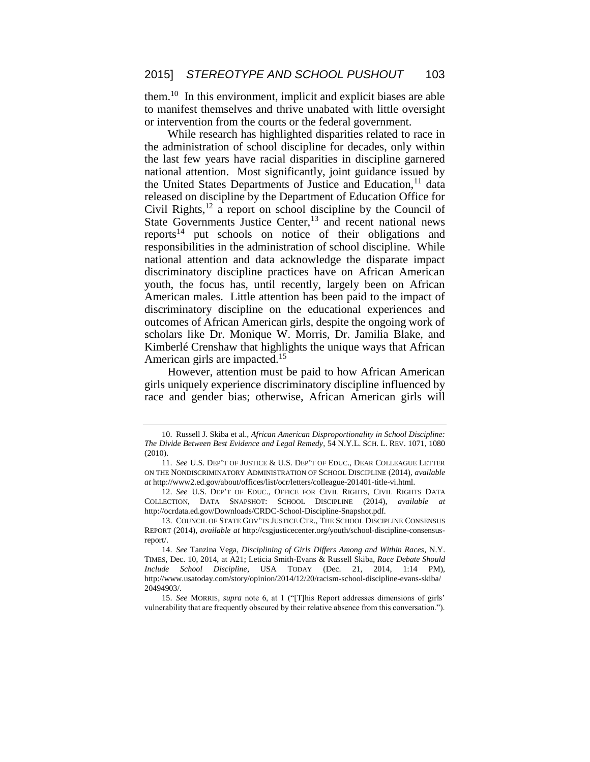them.<sup>10</sup> In this environment, implicit and explicit biases are able to manifest themselves and thrive unabated with little oversight or intervention from the courts or the federal government.

While research has highlighted disparities related to race in the administration of school discipline for decades, only within the last few years have racial disparities in discipline garnered national attention. Most significantly, joint guidance issued by the United States Departments of Justice and Education,  $\frac{11}{11}$  data released on discipline by the Department of Education Office for Civil Rights, $12$  a report on school discipline by the Council of State Governments Justice Center,<sup>13</sup> and recent national news reports<sup>14</sup> put schools on notice of their obligations and responsibilities in the administration of school discipline. While national attention and data acknowledge the disparate impact discriminatory discipline practices have on African American youth, the focus has, until recently, largely been on African American males. Little attention has been paid to the impact of discriminatory discipline on the educational experiences and outcomes of African American girls, despite the ongoing work of scholars like Dr. Monique W. Morris, Dr. Jamilia Blake, and Kimberlé Crenshaw that highlights the unique ways that African American girls are impacted.<sup>15</sup>

However, attention must be paid to how African American girls uniquely experience discriminatory discipline influenced by race and gender bias; otherwise, African American girls will

<sup>10.</sup> Russell J. Skiba et al., *African American Disproportionality in School Discipline: The Divide Between Best Evidence and Legal Remedy*, 54 N.Y.L. SCH. L. REV. 1071, 1080 (2010).

<sup>11.</sup> *See* U.S. DEP'T OF JUSTICE & U.S. DEP'T OF EDUC., DEAR COLLEAGUE LETTER ON THE NONDISCRIMINATORY ADMINISTRATION OF SCHOOL DISCIPLINE (2014), *available at* http://www2.ed.gov/about/offices/list/ocr/letters/colleague-201401-title-vi.html.

<sup>12.</sup> *See* U.S. DEP'T OF EDUC., OFFICE FOR CIVIL RIGHTS, CIVIL RIGHTS DATA COLLECTION, DATA SNAPSHOT: SCHOOL DISCIPLINE (2014), *available at*  http://ocrdata.ed.gov/Downloads/CRDC-School-Discipline-Snapshot.pdf*.* 

<sup>13.</sup> COUNCIL OF STATE GOV'TS JUSTICE CTR., THE SCHOOL DISCIPLINE CONSENSUS REPORT (2014), *available at* http://csgjusticecenter.org/youth/school-discipline-consensusreport/.

<sup>14.</sup> *See* Tanzina Vega, *Disciplining of Girls Differs Among and Within Races*, N.Y. TIMES, Dec. 10, 2014, at A21; Leticia Smith-Evans & Russell Skiba, *Race Debate Should Include School Discipline*, USA TODAY (Dec. 21, 2014, 1:14 PM), http://www.usatoday.com/story/opinion/2014/12/20/racism-school-discipline-evans-skiba/ 20494903/.

<sup>15.</sup> *See* MORRIS, *supra* note 6, at 1 ("[T]his Report addresses dimensions of girls' vulnerability that are frequently obscured by their relative absence from this conversation.").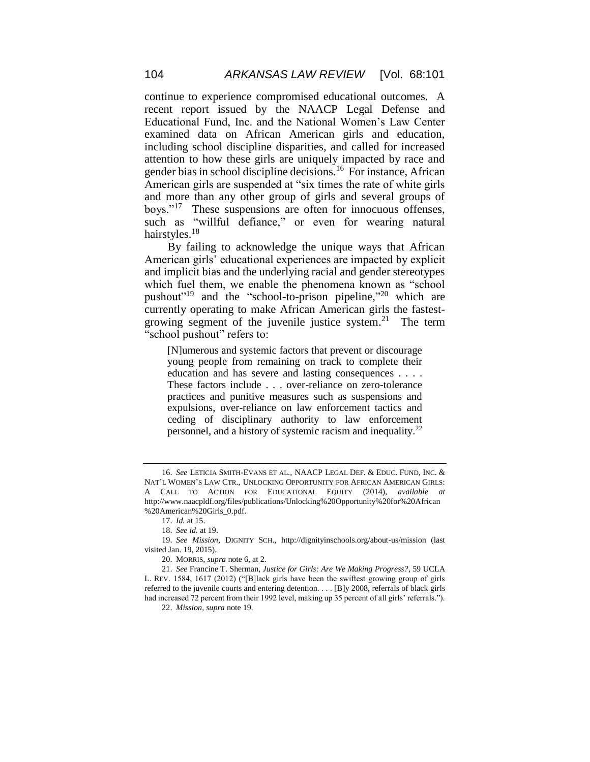continue to experience compromised educational outcomes. A recent report issued by the NAACP Legal Defense and Educational Fund, Inc. and the National Women's Law Center examined data on African American girls and education, including school discipline disparities, and called for increased attention to how these girls are uniquely impacted by race and gender bias in school discipline decisions.<sup>16</sup> For instance, African American girls are suspended at "six times the rate of white girls and more than any other group of girls and several groups of boys."<sup>17</sup> These suspensions are often for innocuous offenses, such as "willful defiance," or even for wearing natural hairstyles.<sup>18</sup>

By failing to acknowledge the unique ways that African American girls' educational experiences are impacted by explicit and implicit bias and the underlying racial and gender stereotypes which fuel them, we enable the phenomena known as "school pushout"<sup>19</sup> and the "school-to-prison pipeline,"<sup>20</sup> which are currently operating to make African American girls the fastestgrowing segment of the juvenile justice system.<sup>21</sup> The term "school pushout" refers to:

[N]umerous and systemic factors that prevent or discourage young people from remaining on track to complete their education and has severe and lasting consequences . . . . These factors include . . . over-reliance on zero-tolerance practices and punitive measures such as suspensions and expulsions, over-reliance on law enforcement tactics and ceding of disciplinary authority to law enforcement personnel, and a history of systemic racism and inequality.<sup>22</sup>

<sup>16.</sup> *See* LETICIA SMITH-EVANS ET AL., NAACP LEGAL DEF. & EDUC. FUND, INC. & NAT'L WOMEN'S LAW CTR., UNLOCKING OPPORTUNITY FOR AFRICAN AMERICAN GIRLS: A CALL TO ACTION FOR EDUCATIONAL EQUITY (2014), *available at*  http://www.naacpldf.org/files/publications/Unlocking%20Opportunity%20for%20African %20American%20Girls\_0.pdf.

<sup>17.</sup> *Id.* at 15.

<sup>18.</sup> *See id.* at 19.

<sup>19.</sup> *See Mission*, DIGNITY SCH., http://dignityinschools.org/about-us/mission (last visited Jan. 19, 2015).

<sup>20.</sup> MORRIS, *supra* note 6, at 2.

<sup>21.</sup> *See* Francine T. Sherman, *Justice for Girls: Are We Making Progress?*, 59 UCLA L. REV. 1584, 1617 (2012) ("[B]lack girls have been the swiftest growing group of girls referred to the juvenile courts and entering detention. . . . [B]y 2008, referrals of black girls had increased 72 percent from their 1992 level, making up 35 percent of all girls' referrals.").

<sup>22.</sup> *Mission*, *supra* note 19.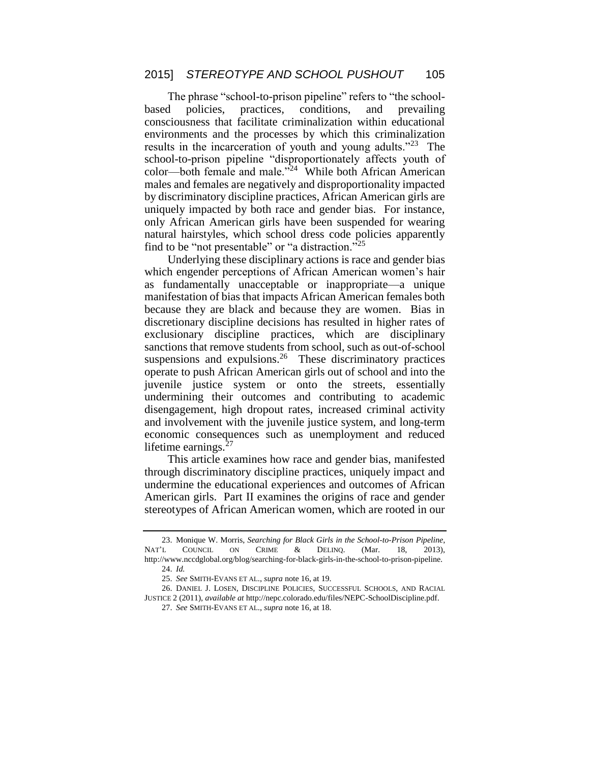The phrase "school-to-prison pipeline" refers to "the schoolbased policies, practices, conditions, and prevailing consciousness that facilitate criminalization within educational environments and the processes by which this criminalization results in the incarceration of youth and young adults."<sup>23</sup> The school-to-prison pipeline "disproportionately affects youth of color—both female and male."<sup>24</sup> While both African American males and females are negatively and disproportionality impacted by discriminatory discipline practices, African American girls are uniquely impacted by both race and gender bias. For instance, only African American girls have been suspended for wearing natural hairstyles, which school dress code policies apparently find to be "not presentable" or "a distraction."<sup>25</sup>

Underlying these disciplinary actions is race and gender bias which engender perceptions of African American women's hair as fundamentally unacceptable or inappropriate—a unique manifestation of bias that impacts African American females both because they are black and because they are women. Bias in discretionary discipline decisions has resulted in higher rates of exclusionary discipline practices, which are disciplinary sanctions that remove students from school, such as out-of-school suspensions and expulsions.<sup>26</sup> These discriminatory practices operate to push African American girls out of school and into the juvenile justice system or onto the streets, essentially undermining their outcomes and contributing to academic disengagement, high dropout rates, increased criminal activity and involvement with the juvenile justice system, and long-term economic consequences such as unemployment and reduced lifetime earnings. $27$ 

This article examines how race and gender bias, manifested through discriminatory discipline practices, uniquely impact and undermine the educational experiences and outcomes of African American girls. Part II examines the origins of race and gender stereotypes of African American women, which are rooted in our

<sup>23.</sup> Monique W. Morris, *Searching for Black Girls in the School-to-Prison Pipeline*, NAT'L COUNCIL ON CRIME & DELINQ. (Mar. 18, 2013), http://www.nccdglobal.org/blog/searching-for-black-girls-in-the-school-to-prison-pipeline. 24. *Id.*

<sup>25.</sup> *See* SMITH-EVANS ET AL., *supra* note 16, at 19.

<sup>26.</sup> DANIEL J. LOSEN, DISCIPLINE POLICIES, SUCCESSFUL SCHOOLS, AND RACIAL JUSTICE 2 (2011), *available at* http://nepc.colorado.edu/files/NEPC-SchoolDiscipline.pdf.

<sup>27.</sup> *See* SMITH-EVANS ET AL., *supra* note 16, at 18.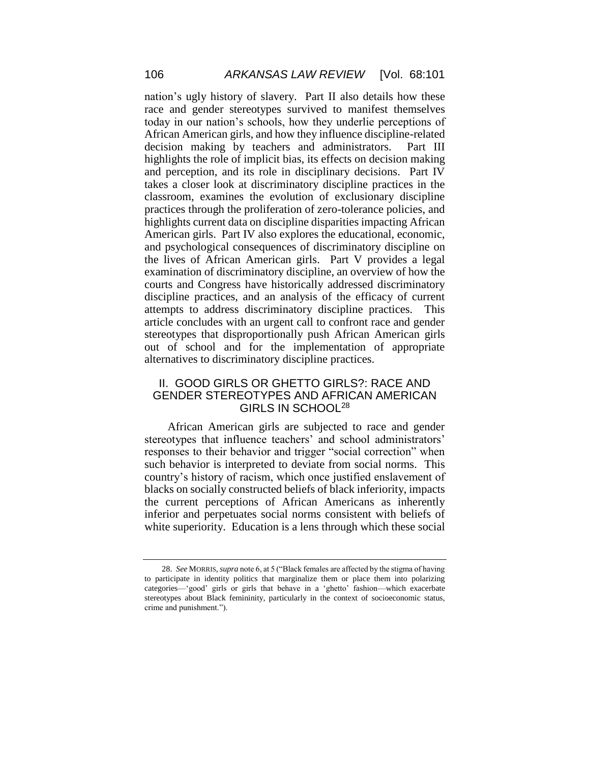nation's ugly history of slavery. Part II also details how these race and gender stereotypes survived to manifest themselves today in our nation's schools, how they underlie perceptions of African American girls, and how they influence discipline-related decision making by teachers and administrators. Part III highlights the role of implicit bias, its effects on decision making and perception, and its role in disciplinary decisions. Part IV takes a closer look at discriminatory discipline practices in the classroom, examines the evolution of exclusionary discipline practices through the proliferation of zero-tolerance policies, and highlights current data on discipline disparities impacting African American girls. Part IV also explores the educational, economic, and psychological consequences of discriminatory discipline on the lives of African American girls. Part V provides a legal examination of discriminatory discipline, an overview of how the courts and Congress have historically addressed discriminatory discipline practices, and an analysis of the efficacy of current attempts to address discriminatory discipline practices. This article concludes with an urgent call to confront race and gender stereotypes that disproportionally push African American girls out of school and for the implementation of appropriate alternatives to discriminatory discipline practices.

#### II. GOOD GIRLS OR GHETTO GIRLS?: RACE AND GENDER STEREOTYPES AND AFRICAN AMERICAN GIRLS IN SCHOOL<sup>28</sup>

African American girls are subjected to race and gender stereotypes that influence teachers' and school administrators' responses to their behavior and trigger "social correction" when such behavior is interpreted to deviate from social norms. This country's history of racism, which once justified enslavement of blacks on socially constructed beliefs of black inferiority, impacts the current perceptions of African Americans as inherently inferior and perpetuates social norms consistent with beliefs of white superiority. Education is a lens through which these social

<sup>28.</sup> *See* MORRIS, *supra* note 6, at 5 ("Black females are affected by the stigma of having to participate in identity politics that marginalize them or place them into polarizing categories—'good' girls or girls that behave in a 'ghetto' fashion—which exacerbate stereotypes about Black femininity, particularly in the context of socioeconomic status, crime and punishment.").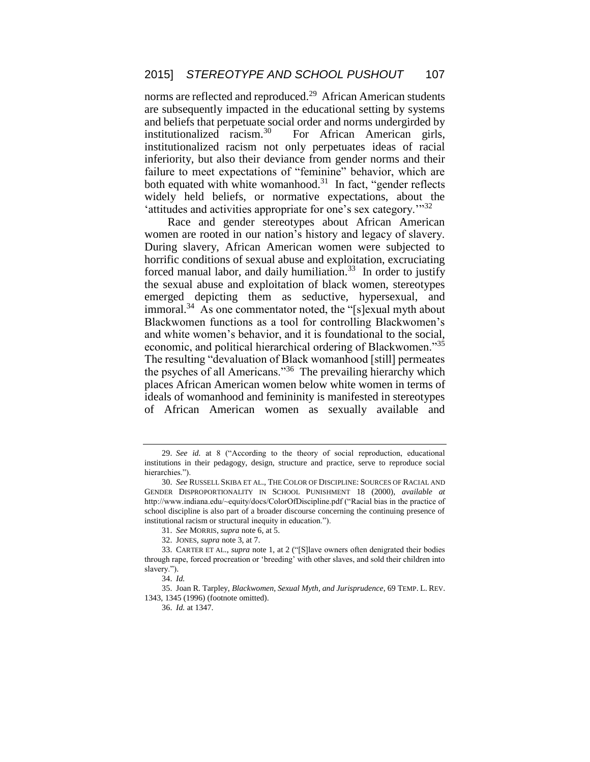norms are reflected and reproduced.<sup>29</sup> African American students are subsequently impacted in the educational setting by systems and beliefs that perpetuate social order and norms undergirded by institutionalized racism.<sup>30</sup> For African American girls, institutionalized racism not only perpetuates ideas of racial inferiority, but also their deviance from gender norms and their failure to meet expectations of "feminine" behavior, which are both equated with white womanhood.<sup>31</sup> In fact, "gender reflects widely held beliefs, or normative expectations, about the 'attitudes and activities appropriate for one's sex category.'"<sup>32</sup>

Race and gender stereotypes about African American women are rooted in our nation's history and legacy of slavery. During slavery, African American women were subjected to horrific conditions of sexual abuse and exploitation, excruciating forced manual labor, and daily humiliation.<sup>33</sup> In order to justify the sexual abuse and exploitation of black women, stereotypes emerged depicting them as seductive, hypersexual, and immoral.<sup>34</sup> As one commentator noted, the "[s]exual myth about Blackwomen functions as a tool for controlling Blackwomen's and white women's behavior, and it is foundational to the social, economic, and political hierarchical ordering of Blackwomen."35 The resulting "devaluation of Black womanhood [still] permeates the psyches of all Americans."<sup>36</sup> The prevailing hierarchy which places African American women below white women in terms of ideals of womanhood and femininity is manifested in stereotypes of African American women as sexually available and

<sup>29.</sup> *See id.* at 8 ("According to the theory of social reproduction, educational institutions in their pedagogy, design, structure and practice, serve to reproduce social hierarchies.").

<sup>30.</sup> *See* RUSSELL SKIBA ET AL., THE COLOR OF DISCIPLINE: SOURCES OF RACIAL AND GENDER DISPROPORTIONALITY IN SCHOOL PUNISHMENT 18 (2000), *available at* http://www.indiana.edu/~equity/docs/ColorOfDiscipline.pdf ("Racial bias in the practice of school discipline is also part of a broader discourse concerning the continuing presence of institutional racism or structural inequity in education.").

<sup>31.</sup> *See* MORRIS, *supra* note 6, at 5.

<sup>32.</sup> JONES, *supra* note 3, at 7.

<sup>33.</sup> CARTER ET AL., *supra* note 1, at 2 ("[S]lave owners often denigrated their bodies through rape, forced procreation or 'breeding' with other slaves, and sold their children into slavery.").

<sup>34.</sup> *Id.*

<sup>35.</sup> Joan R. Tarpley, *Blackwomen, Sexual Myth, and Jurisprudence*, 69 TEMP. L. REV. 1343, 1345 (1996) (footnote omitted).

<sup>36.</sup> *Id.* at 1347.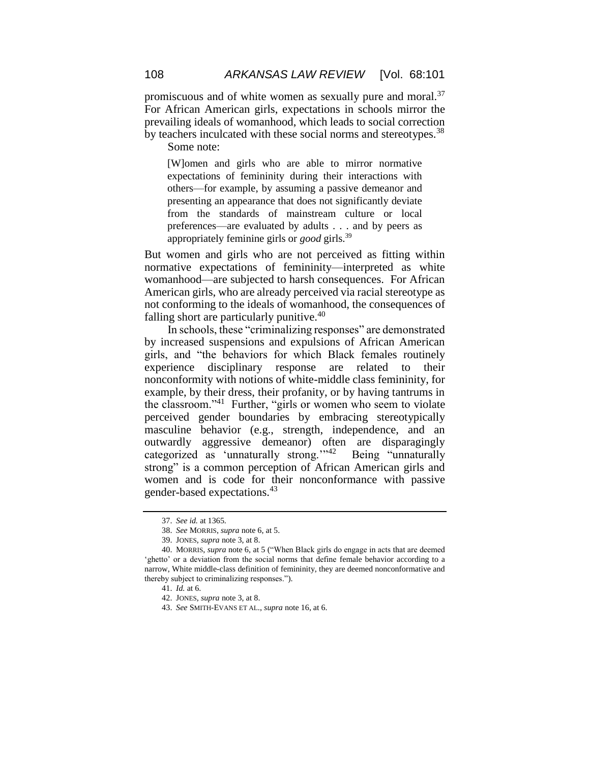promiscuous and of white women as sexually pure and moral.<sup>37</sup> For African American girls, expectations in schools mirror the prevailing ideals of womanhood, which leads to social correction by teachers inculcated with these social norms and stereotypes.<sup>38</sup>

Some note:

[W]omen and girls who are able to mirror normative expectations of femininity during their interactions with others—for example, by assuming a passive demeanor and presenting an appearance that does not significantly deviate from the standards of mainstream culture or local preferences—are evaluated by adults . . . and by peers as appropriately feminine girls or *good* girls.<sup>39</sup>

But women and girls who are not perceived as fitting within normative expectations of femininity—interpreted as white womanhood—are subjected to harsh consequences. For African American girls, who are already perceived via racial stereotype as not conforming to the ideals of womanhood, the consequences of falling short are particularly punitive.<sup>40</sup>

In schools, these "criminalizing responses" are demonstrated by increased suspensions and expulsions of African American girls, and "the behaviors for which Black females routinely experience disciplinary response are related to their nonconformity with notions of white-middle class femininity, for example, by their dress, their profanity, or by having tantrums in the classroom."<sup>41</sup> Further, "girls or women who seem to violate perceived gender boundaries by embracing stereotypically masculine behavior (e.g., strength, independence, and an outwardly aggressive demeanor) often are disparagingly categorized as 'unnaturally strong."<sup>42</sup> Being "unnaturally strong" is a common perception of African American girls and women and is code for their nonconformance with passive gender-based expectations.<sup>43</sup>

<sup>37.</sup> *See id.* at 1365.

<sup>38.</sup> *See* MORRIS, *supra* note 6, at 5.

<sup>39.</sup> JONES, *supra* note 3, at 8.

<sup>40.</sup> MORRIS, *supra* note 6, at 5 ("When Black girls do engage in acts that are deemed 'ghetto' or a deviation from the social norms that define female behavior according to a narrow, White middle-class definition of femininity, they are deemed nonconformative and thereby subject to criminalizing responses.").

<sup>41.</sup> *Id.* at 6.

<sup>42.</sup> JONES, *supra* note 3, at 8.

<sup>43.</sup> *See* SMITH-EVANS ET AL., *supra* note 16, at 6.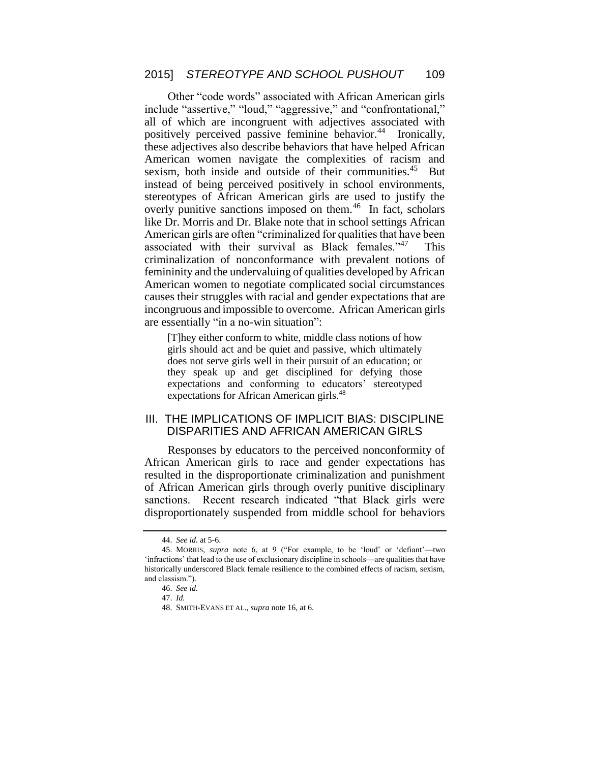Other "code words" associated with African American girls include "assertive," "loud," "aggressive," and "confrontational," all of which are incongruent with adjectives associated with positively perceived passive feminine behavior.<sup>44</sup> Ironically, these adjectives also describe behaviors that have helped African American women navigate the complexities of racism and sexism, both inside and outside of their communities.<sup>45</sup> But instead of being perceived positively in school environments, stereotypes of African American girls are used to justify the overly punitive sanctions imposed on them.<sup>46</sup> In fact, scholars like Dr. Morris and Dr. Blake note that in school settings African American girls are often "criminalized for qualities that have been associated with their survival as Black females."<sup>47</sup> This criminalization of nonconformance with prevalent notions of femininity and the undervaluing of qualities developed by African American women to negotiate complicated social circumstances causes their struggles with racial and gender expectations that are incongruous and impossible to overcome. African American girls are essentially "in a no-win situation":

[T]hey either conform to white, middle class notions of how girls should act and be quiet and passive, which ultimately does not serve girls well in their pursuit of an education; or they speak up and get disciplined for defying those expectations and conforming to educators' stereotyped expectations for African American girls.<sup>48</sup>

#### III. THE IMPLICATIONS OF IMPLICIT BIAS: DISCIPLINE DISPARITIES AND AFRICAN AMERICAN GIRLS

Responses by educators to the perceived nonconformity of African American girls to race and gender expectations has resulted in the disproportionate criminalization and punishment of African American girls through overly punitive disciplinary sanctions. Recent research indicated "that Black girls were disproportionately suspended from middle school for behaviors

<sup>44.</sup> *See id.* at 5-6.

<sup>45.</sup> MORRIS, *supra* note 6, at 9 ("For example, to be 'loud' or 'defiant'—two 'infractions' that lead to the use of exclusionary discipline in schools—are qualities that have historically underscored Black female resilience to the combined effects of racism, sexism, and classism.").

<sup>46.</sup> *See id.*

<sup>47.</sup> *Id.*

<sup>48.</sup> SMITH-EVANS ET AL., *supra* note 16, at 6.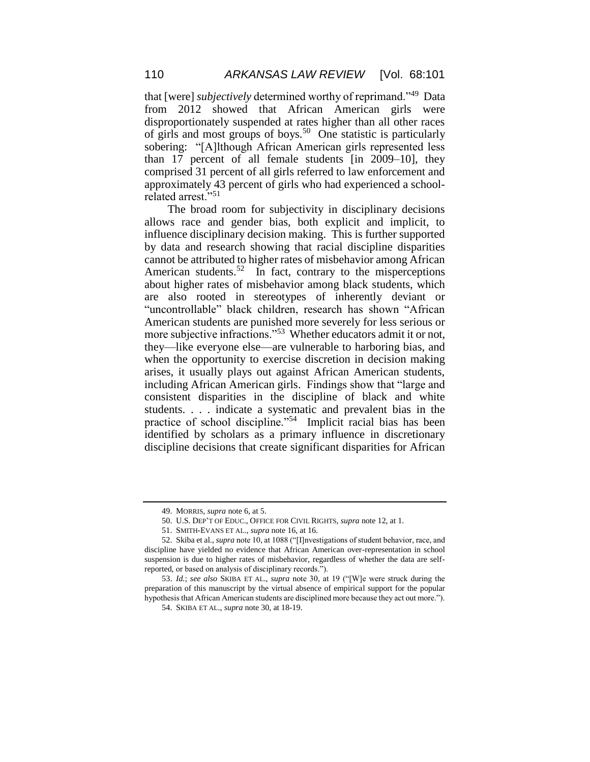that [were] *subjectively* determined worthy of reprimand."<sup>49</sup> Data from 2012 showed that African American girls were disproportionately suspended at rates higher than all other races of girls and most groups of boys.<sup>50</sup> One statistic is particularly sobering: "[A]lthough African American girls represented less than 17 percent of all female students [in 2009–10], they comprised 31 percent of all girls referred to law enforcement and approximately 43 percent of girls who had experienced a schoolrelated arrest."<sup>51</sup>

The broad room for subjectivity in disciplinary decisions allows race and gender bias, both explicit and implicit, to influence disciplinary decision making. This is further supported by data and research showing that racial discipline disparities cannot be attributed to higher rates of misbehavior among African American students.<sup>52</sup> In fact, contrary to the misperceptions about higher rates of misbehavior among black students, which are also rooted in stereotypes of inherently deviant or "uncontrollable" black children, research has shown "African American students are punished more severely for less serious or more subjective infractions."<sup>53</sup> Whether educators admit it or not, they—like everyone else—are vulnerable to harboring bias, and when the opportunity to exercise discretion in decision making arises, it usually plays out against African American students, including African American girls. Findings show that "large and consistent disparities in the discipline of black and white students. . . . indicate a systematic and prevalent bias in the practice of school discipline."<sup>54</sup> Implicit racial bias has been identified by scholars as a primary influence in discretionary discipline decisions that create significant disparities for African

<sup>49.</sup> MORRIS, *supra* note 6, at 5.

<sup>50.</sup> U.S. DEP'T OF EDUC., OFFICE FOR CIVIL RIGHTS, *supra* note 12, at 1.

<sup>51.</sup> SMITH-EVANS ET AL., *supra* note 16, at 16.

<sup>52.</sup> Skiba et al., *supra* note 10, at 1088 ("[I]nvestigations of student behavior, race, and discipline have yielded no evidence that African American over-representation in school suspension is due to higher rates of misbehavior, regardless of whether the data are selfreported, or based on analysis of disciplinary records.").

<sup>53.</sup> *Id.*; *see also* SKIBA ET AL., *supra* note 30, at 19 ("[W]e were struck during the preparation of this manuscript by the virtual absence of empirical support for the popular hypothesis that African American students are disciplined more because they act out more.").

<sup>54.</sup> SKIBA ET AL., *supra* note 30, at 18-19.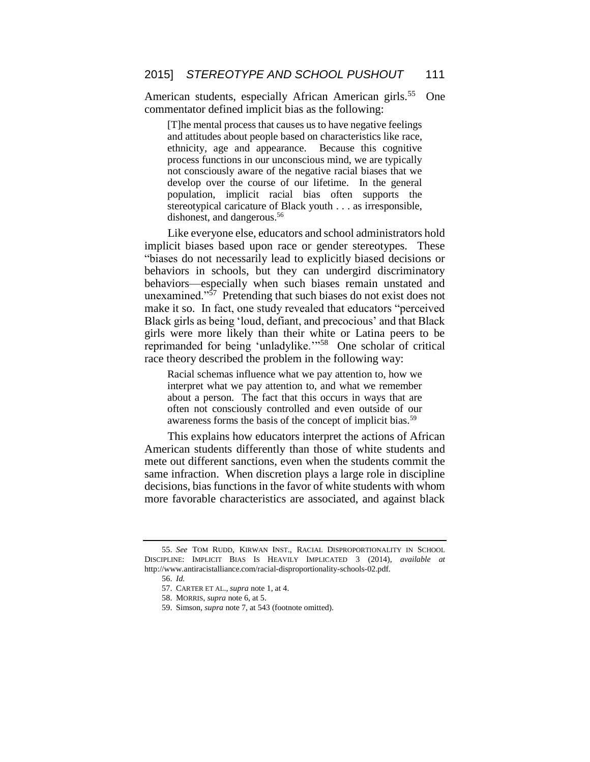American students, especially African American girls.<sup>55</sup> One commentator defined implicit bias as the following:

[T]he mental process that causes us to have negative feelings and attitudes about people based on characteristics like race, ethnicity, age and appearance. Because this cognitive process functions in our unconscious mind, we are typically not consciously aware of the negative racial biases that we develop over the course of our lifetime. In the general population, implicit racial bias often supports the stereotypical caricature of Black youth . . . as irresponsible, dishonest, and dangerous.<sup>56</sup>

Like everyone else, educators and school administrators hold implicit biases based upon race or gender stereotypes. These "biases do not necessarily lead to explicitly biased decisions or behaviors in schools, but they can undergird discriminatory behaviors—especially when such biases remain unstated and unexamined." $57$  Pretending that such biases do not exist does not make it so. In fact, one study revealed that educators "perceived Black girls as being 'loud, defiant, and precocious' and that Black girls were more likely than their white or Latina peers to be reprimanded for being 'unladylike."<sup>58</sup> One scholar of critical race theory described the problem in the following way:

Racial schemas influence what we pay attention to, how we interpret what we pay attention to, and what we remember about a person. The fact that this occurs in ways that are often not consciously controlled and even outside of our awareness forms the basis of the concept of implicit bias.<sup>59</sup>

This explains how educators interpret the actions of African American students differently than those of white students and mete out different sanctions, even when the students commit the same infraction. When discretion plays a large role in discipline decisions, bias functions in the favor of white students with whom more favorable characteristics are associated, and against black

<sup>55.</sup> *See* TOM RUDD, KIRWAN INST., RACIAL DISPROPORTIONALITY IN SCHOOL DISCIPLINE: IMPLICIT BIAS IS HEAVILY IMPLICATED 3 (2014), *available at* http://www.antiracistalliance.com/racial-disproportionality-schools-02.pdf.

<sup>56.</sup> *Id.*

<sup>57.</sup> CARTER ET AL., *supra* note 1, at 4.

<sup>58.</sup> MORRIS, *supra* note 6, at 5.

<sup>59.</sup> Simson, *supra* note 7, at 543 (footnote omitted).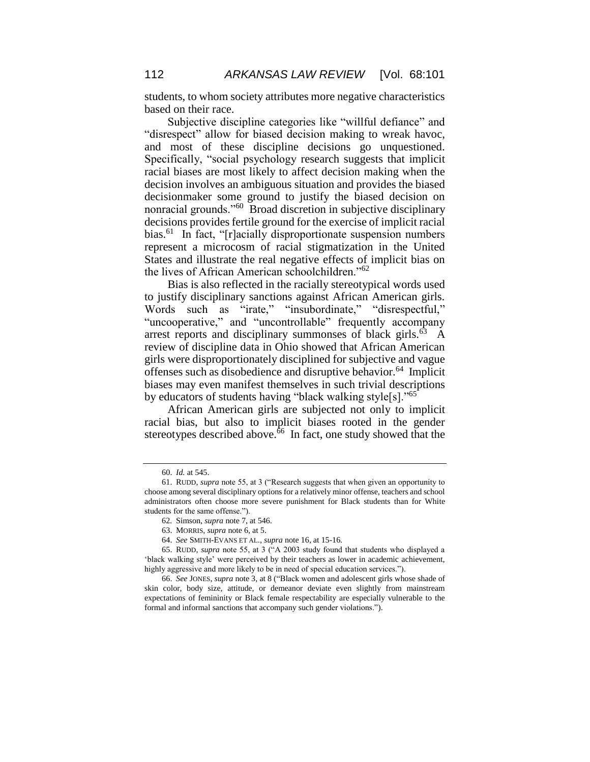students, to whom society attributes more negative characteristics based on their race.

Subjective discipline categories like "willful defiance" and "disrespect" allow for biased decision making to wreak havoc, and most of these discipline decisions go unquestioned. Specifically, "social psychology research suggests that implicit racial biases are most likely to affect decision making when the decision involves an ambiguous situation and provides the biased decisionmaker some ground to justify the biased decision on nonracial grounds."<sup>60</sup> Broad discretion in subjective disciplinary decisions provides fertile ground for the exercise of implicit racial bias.<sup>61</sup> In fact, "[r]acially disproportionate suspension numbers represent a microcosm of racial stigmatization in the United States and illustrate the real negative effects of implicit bias on the lives of African American schoolchildren."<sup>62</sup>

Bias is also reflected in the racially stereotypical words used to justify disciplinary sanctions against African American girls. Words such as "irate," "insubordinate," "disrespectful," "uncooperative," and "uncontrollable" frequently accompany arrest reports and disciplinary summonses of black girls. $63\text{ A}$ review of discipline data in Ohio showed that African American girls were disproportionately disciplined for subjective and vague offenses such as disobedience and disruptive behavior.<sup>64</sup> Implicit biases may even manifest themselves in such trivial descriptions by educators of students having "black walking style[s]."<sup>65</sup>

African American girls are subjected not only to implicit racial bias, but also to implicit biases rooted in the gender stereotypes described above.<sup> $\delta$ 6</sup> In fact, one study showed that the

<sup>60.</sup> *Id.* at 545.

<sup>61.</sup> RUDD, *supra* note 55, at 3 ("Research suggests that when given an opportunity to choose among several disciplinary options for a relatively minor offense, teachers and school administrators often choose more severe punishment for Black students than for White students for the same offense.").

<sup>62</sup>*.* Simson, *supra* note 7, at 546.

<sup>63.</sup> MORRIS, *supra* note 6, at 5.

<sup>64.</sup> *See* SMITH-EVANS ET AL., *supra* note 16, at 15-16.

<sup>65.</sup> RUDD, *supra* note 55, at 3 ("A 2003 study found that students who displayed a 'black walking style' were perceived by their teachers as lower in academic achievement, highly aggressive and more likely to be in need of special education services.").

<sup>66.</sup> *See* JONES, *supra* note 3, at 8 ("Black women and adolescent girls whose shade of skin color, body size, attitude, or demeanor deviate even slightly from mainstream expectations of femininity or Black female respectability are especially vulnerable to the formal and informal sanctions that accompany such gender violations.").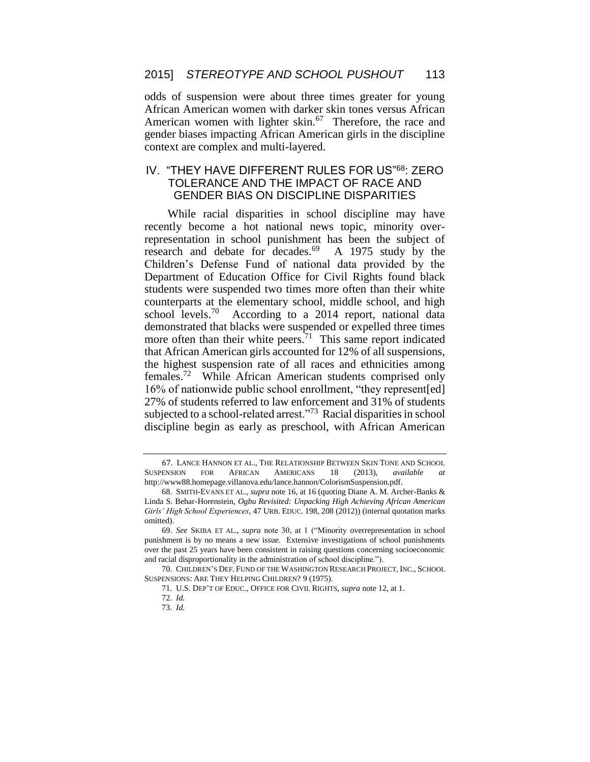odds of suspension were about three times greater for young African American women with darker skin tones versus African American women with lighter skin.<sup>67</sup> Therefore, the race and gender biases impacting African American girls in the discipline context are complex and multi-layered.

## IV. "THEY HAVE DIFFERENT RULES FOR US"<sup>68</sup>: ZERO TOLERANCE AND THE IMPACT OF RACE AND GENDER BIAS ON DISCIPLINE DISPARITIES

While racial disparities in school discipline may have recently become a hot national news topic, minority overrepresentation in school punishment has been the subject of research and debate for decades.<sup>69</sup> A 1975 study by the Children's Defense Fund of national data provided by the Department of Education Office for Civil Rights found black students were suspended two times more often than their white counterparts at the elementary school, middle school, and high school levels.<sup>70</sup> According to a 2014 report, national data demonstrated that blacks were suspended or expelled three times more often than their white peers.<sup> $71$ </sup> This same report indicated that African American girls accounted for 12% of all suspensions, the highest suspension rate of all races and ethnicities among females.<sup>72</sup> While African American students comprised only 16% of nationwide public school enrollment, "they represent[ed] 27% of students referred to law enforcement and 31% of students subjected to a school-related arrest."<sup>73</sup> Racial disparities in school discipline begin as early as preschool, with African American

70. CHILDREN'S DEF. FUND OF THE WASHINGTON RESEARCH PROJECT, INC., SCHOOL SUSPENSIONS: ARE THEY HELPING CHILDREN? 9 (1975).

<sup>67</sup>. LANCE HANNON ET AL., THE RELATIONSHIP BETWEEN SKIN TONE AND SCHOOL SUSPENSION FOR AFRICAN AMERICANS 18 (2013), *available at* http://www88.homepage.villanova.edu/lance.hannon/ColorismSuspension.pdf.

<sup>68.</sup> SMITH-EVANS ET AL., *supra* note 16, at 16 (quoting Diane A. M. Archer-Banks & Linda S. Behar-Horenstein, *Ogbu Revisited: Unpacking High Achieving African American Girls' High School Experiences*, 47 URB. EDUC. 198, 208 (2012)) (internal quotation marks omitted).

<sup>69.</sup> *See* SKIBA ET AL., *supra* note 30, at 1 ("Minority overrepresentation in school punishment is by no means a new issue. Extensive investigations of school punishments over the past 25 years have been consistent in raising questions concerning socioeconomic and racial disproportionality in the administration of school discipline.").

<sup>71.</sup> U.S. DEP'T OF EDUC., OFFICE FOR CIVIL RIGHTS, *supra* note 12, at 1.

<sup>72.</sup> *Id.*

<sup>73.</sup> *Id.*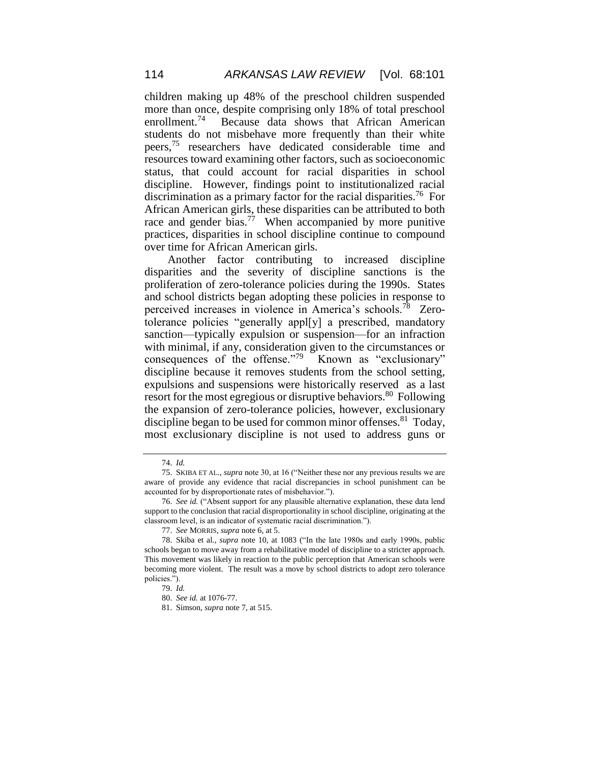children making up 48% of the preschool children suspended more than once, despite comprising only 18% of total preschool enrollment.<sup>74</sup> Because data shows that African American students do not misbehave more frequently than their white peers, <sup>75</sup> researchers have dedicated considerable time and resources toward examining other factors, such as socioeconomic status, that could account for racial disparities in school discipline. However, findings point to institutionalized racial discrimination as a primary factor for the racial disparities. <sup>76</sup> For African American girls, these disparities can be attributed to both race and gender bias.<sup>77</sup> When accompanied by more punitive practices, disparities in school discipline continue to compound over time for African American girls.

Another factor contributing to increased discipline disparities and the severity of discipline sanctions is the proliferation of zero-tolerance policies during the 1990s. States and school districts began adopting these policies in response to perceived increases in violence in America's schools.<sup>78</sup> Zerotolerance policies "generally appl[y] a prescribed, mandatory sanction—typically expulsion or suspension—for an infraction with minimal, if any, consideration given to the circumstances or consequences of the offense."<sup>79</sup> Known as "exclusionary" discipline because it removes students from the school setting, expulsions and suspensions were historically reserved as a last resort for the most egregious or disruptive behaviors.<sup>80</sup> Following the expansion of zero-tolerance policies, however, exclusionary discipline began to be used for common minor offenses.<sup>81</sup> Today, most exclusionary discipline is not used to address guns or

<sup>74.</sup> *Id.*

<sup>75.</sup> SKIBA ET AL., *supra* note 30, at 16 ("Neither these nor any previous results we are aware of provide any evidence that racial discrepancies in school punishment can be accounted for by disproportionate rates of misbehavior.").

<sup>76.</sup> *See id.* ("Absent support for any plausible alternative explanation, these data lend support to the conclusion that racial disproportionality in school discipline, originating at the classroom level, is an indicator of systematic racial discrimination.").

<sup>77.</sup> *See* MORRIS, *supra* note 6, at 5.

<sup>78.</sup> Skiba et al., *supra* note 10, at 1083 ("In the late 1980s and early 1990s, public schools began to move away from a rehabilitative model of discipline to a stricter approach. This movement was likely in reaction to the public perception that American schools were becoming more violent. The result was a move by school districts to adopt zero tolerance policies.").

<sup>79.</sup> *Id.*

<sup>80.</sup> *See id.* at 1076-77.

<sup>81.</sup> Simson, *supra* note 7, at 515.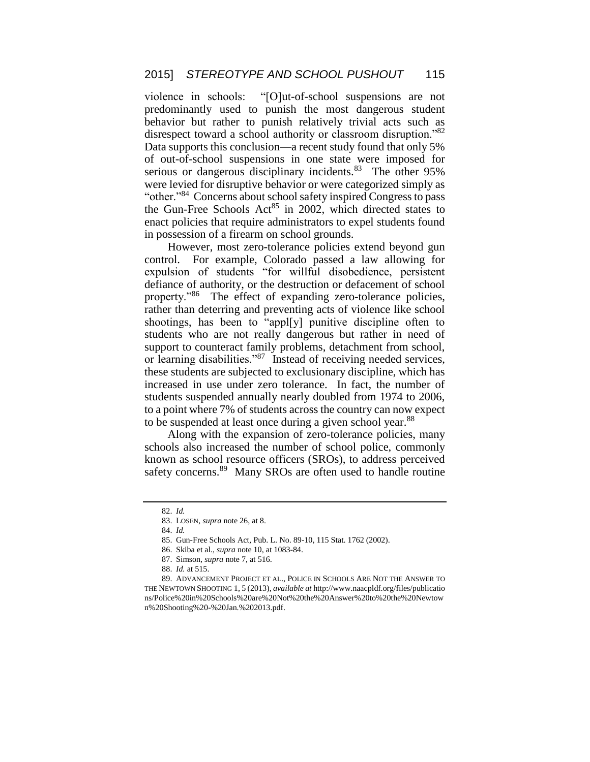violence in schools: "[O]ut-of-school suspensions are not predominantly used to punish the most dangerous student behavior but rather to punish relatively trivial acts such as disrespect toward a school authority or classroom disruption."82 Data supports this conclusion—a recent study found that only 5% of out-of-school suspensions in one state were imposed for serious or dangerous disciplinary incidents.<sup>83</sup> The other 95% were levied for disruptive behavior or were categorized simply as "other."<sup>84</sup> Concerns about school safety inspired Congress to pass the Gun-Free Schools Act<sup>85</sup> in 2002, which directed states to enact policies that require administrators to expel students found in possession of a firearm on school grounds.

However, most zero-tolerance policies extend beyond gun control. For example, Colorado passed a law allowing for expulsion of students "for willful disobedience, persistent defiance of authority, or the destruction or defacement of school property."<sup>86</sup> The effect of expanding zero-tolerance policies, rather than deterring and preventing acts of violence like school shootings, has been to "appl[y] punitive discipline often to students who are not really dangerous but rather in need of support to counteract family problems, detachment from school, or learning disabilities."<sup>87</sup> Instead of receiving needed services, these students are subjected to exclusionary discipline, which has increased in use under zero tolerance. In fact, the number of students suspended annually nearly doubled from 1974 to 2006, to a point where 7% of students across the country can now expect to be suspended at least once during a given school year.<sup>88</sup>

Along with the expansion of zero-tolerance policies, many schools also increased the number of school police, commonly known as school resource officers (SROs), to address perceived safety concerns.<sup>89</sup> Many SROs are often used to handle routine

<sup>82.</sup> *Id.*

<sup>83.</sup> LOSEN, *supra* note 26, at 8.

<sup>84.</sup> *Id.*

<sup>85.</sup> Gun-Free Schools Act, Pub. L. No. 89-10, 115 Stat. 1762 (2002).

<sup>86.</sup> Skiba et al., *supra* note 10, at 1083-84.

<sup>87.</sup> Simson, *supra* note 7, at 516.

<sup>88.</sup> *Id.* at 515.

<sup>89.</sup> ADVANCEMENT PROJECT ET AL., POLICE IN SCHOOLS ARE NOT THE ANSWER TO THE NEWTOWN SHOOTING 1, 5 (2013), *available at* http://www.naacpldf.org/files/publicatio ns/Police%20in%20Schools%20are%20Not%20the%20Answer%20to%20the%20Newtow n%20Shooting%20-%20Jan.%202013.pdf.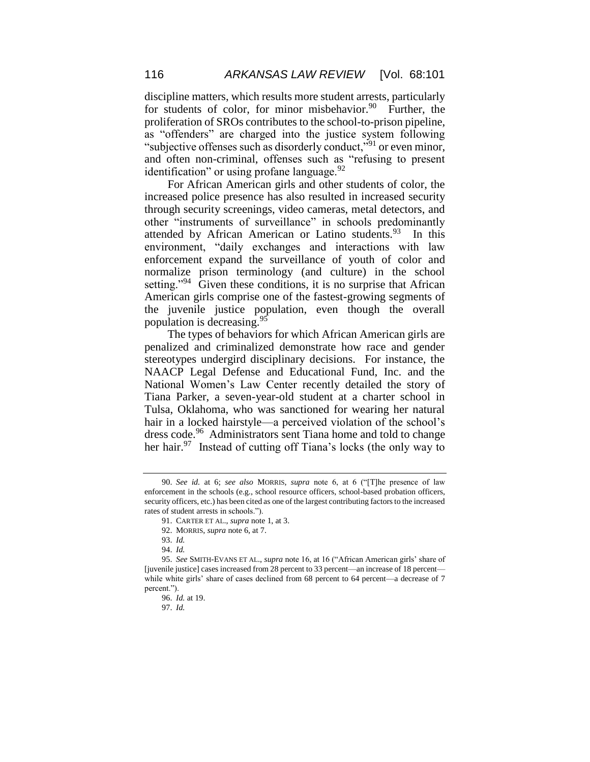discipline matters, which results more student arrests, particularly for students of color, for minor misbehavior.<sup>90</sup> Further, the proliferation of SROs contributes to the school-to-prison pipeline, as "offenders" are charged into the justice system following "subjective offenses such as disorderly conduct,"<sup>91</sup> or even minor, and often non-criminal, offenses such as "refusing to present identification" or using profane language. $92$ 

For African American girls and other students of color, the increased police presence has also resulted in increased security through security screenings, video cameras, metal detectors, and other "instruments of surveillance" in schools predominantly attended by African American or Latino students.<sup>93</sup> In this environment, "daily exchanges and interactions with law enforcement expand the surveillance of youth of color and normalize prison terminology (and culture) in the school setting.<sup> $294$ </sup> Given these conditions, it is no surprise that African American girls comprise one of the fastest-growing segments of the juvenile justice population, even though the overall population is decreasing.<sup>95</sup>

The types of behaviors for which African American girls are penalized and criminalized demonstrate how race and gender stereotypes undergird disciplinary decisions. For instance, the NAACP Legal Defense and Educational Fund, Inc. and the National Women's Law Center recently detailed the story of Tiana Parker, a seven-year-old student at a charter school in Tulsa, Oklahoma, who was sanctioned for wearing her natural hair in a locked hairstyle—a perceived violation of the school's dress code.<sup>96</sup> Administrators sent Tiana home and told to change her hair.<sup>97</sup> Instead of cutting off Tiana's locks (the only way to

<sup>90.</sup> *See id.* at 6; *see also* MORRIS, *supra* note 6, at 6 ("[T]he presence of law enforcement in the schools (e.g., school resource officers, school-based probation officers, security officers, etc.) has been cited as one of the largest contributing factors to the increased rates of student arrests in schools.").

<sup>91.</sup> CARTER ET AL., *supra* note 1, at 3.

<sup>92.</sup> MORRIS, *supra* note 6, at 7.

<sup>93.</sup> *Id.*

<sup>94.</sup> *Id.*

<sup>95.</sup> *See* SMITH-EVANS ET AL., *supra* note 16, at 16 ("African American girls' share of [juvenile justice] cases increased from 28 percent to 33 percent—an increase of 18 percent while white girls' share of cases declined from 68 percent to 64 percent—a decrease of 7 percent.").

<sup>96.</sup> *Id.* at 19.

<sup>97.</sup> *Id.*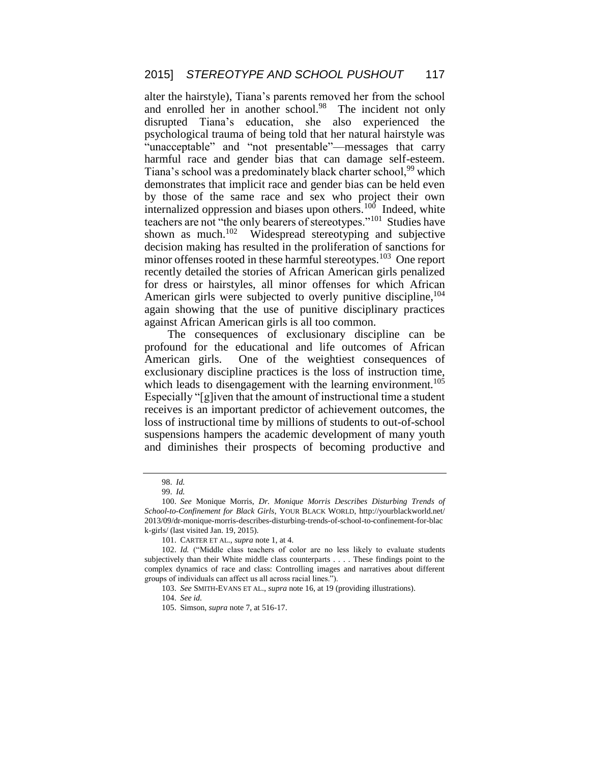alter the hairstyle), Tiana's parents removed her from the school and enrolled her in another school.<sup>98</sup> The incident not only disrupted Tiana's education, she also experienced the psychological trauma of being told that her natural hairstyle was "unacceptable" and "not presentable"—messages that carry harmful race and gender bias that can damage self-esteem. Tiana's school was a predominately black charter school,<sup>99</sup> which demonstrates that implicit race and gender bias can be held even by those of the same race and sex who project their own internalized oppression and biases upon others.<sup>100</sup> Indeed, white teachers are not "the only bearers of stereotypes."<sup>101</sup> Studies have shown as much. $102$  Widespread stereotyping and subjective decision making has resulted in the proliferation of sanctions for minor offenses rooted in these harmful stereotypes.<sup>103</sup> One report recently detailed the stories of African American girls penalized for dress or hairstyles, all minor offenses for which African American girls were subjected to overly punitive discipline,<sup>104</sup> again showing that the use of punitive disciplinary practices against African American girls is all too common.

The consequences of exclusionary discipline can be profound for the educational and life outcomes of African American girls. One of the weightiest consequences of exclusionary discipline practices is the loss of instruction time, which leads to disengagement with the learning environment.<sup>105</sup> Especially "[g]iven that the amount of instructional time a student receives is an important predictor of achievement outcomes, the loss of instructional time by millions of students to out-of-school suspensions hampers the academic development of many youth and diminishes their prospects of becoming productive and

<sup>98.</sup> *Id.* 

<sup>99.</sup> *Id.*

<sup>100.</sup> *See* Monique Morris, *Dr. Monique Morris Describes Disturbing Trends of School-to-Confinement for Black Girls*, YOUR BLACK WORLD, http://yourblackworld.net/ 2013/09/dr-monique-morris-describes-disturbing-trends-of-school-to-confinement-for-blac k-girls/ (last visited Jan. 19, 2015).

<sup>101.</sup> CARTER ET AL., *supra* note 1, at 4.

<sup>102.</sup> *Id.* ("Middle class teachers of color are no less likely to evaluate students subjectively than their White middle class counterparts . . . . These findings point to the complex dynamics of race and class: Controlling images and narratives about different groups of individuals can affect us all across racial lines.").

<sup>103.</sup> *See* SMITH-EVANS ET AL., *supra* note 16, at 19 (providing illustrations).

<sup>104.</sup> *See id.*

<sup>105.</sup> Simson, *supra* note 7, at 516-17.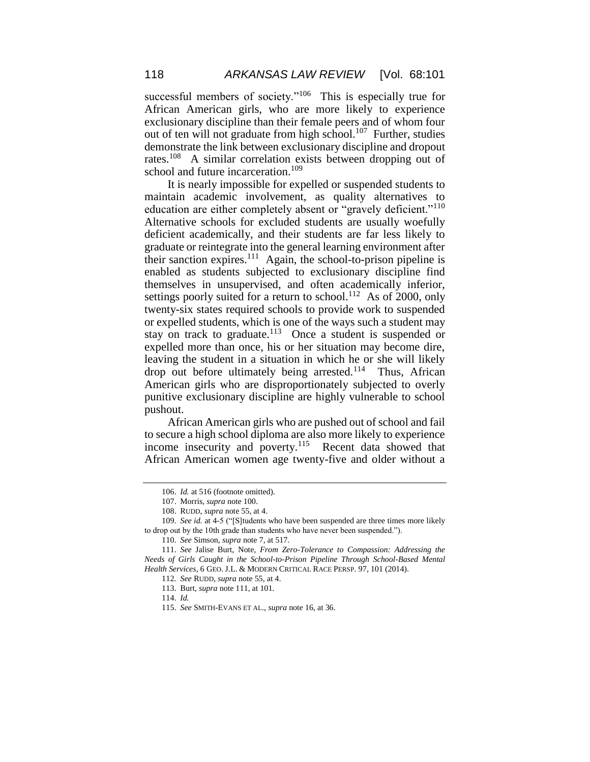successful members of society."<sup>106</sup> This is especially true for African American girls, who are more likely to experience exclusionary discipline than their female peers and of whom four out of ten will not graduate from high school.<sup>107</sup> Further, studies demonstrate the link between exclusionary discipline and dropout rates.<sup>108</sup> A similar correlation exists between dropping out of school and future incarceration.<sup>109</sup>

It is nearly impossible for expelled or suspended students to maintain academic involvement, as quality alternatives to education are either completely absent or "gravely deficient."<sup>110</sup> Alternative schools for excluded students are usually woefully deficient academically, and their students are far less likely to graduate or reintegrate into the general learning environment after their sanction expires.<sup>111</sup> Again, the school-to-prison pipeline is enabled as students subjected to exclusionary discipline find themselves in unsupervised, and often academically inferior, settings poorly suited for a return to school.<sup>112</sup> As of 2000, only twenty-six states required schools to provide work to suspended or expelled students, which is one of the ways such a student may stay on track to graduate.<sup>113</sup> Once a student is suspended or expelled more than once, his or her situation may become dire, leaving the student in a situation in which he or she will likely drop out before ultimately being arrested.<sup>114</sup> Thus, African American girls who are disproportionately subjected to overly punitive exclusionary discipline are highly vulnerable to school pushout.

African American girls who are pushed out of school and fail to secure a high school diploma are also more likely to experience income insecurity and poverty.<sup>115</sup> Recent data showed that African American women age twenty-five and older without a

<sup>106.</sup> *Id.* at 516 (footnote omitted).

<sup>107.</sup> Morris, *supra* note 100.

<sup>108.</sup> RUDD, *supra* note 55, at 4.

<sup>109.</sup> *See id.* at 4-5 ("[S]tudents who have been suspended are three times more likely to drop out by the 10th grade than students who have never been suspended.").

<sup>110.</sup> *See* Simson, *supra* note 7, at 517.

<sup>111.</sup> *See* Jalise Burt, Note, *From Zero-Tolerance to Compassion: Addressing the Needs of Girls Caught in the School-to-Prison Pipeline Through School-Based Mental Health Services*, 6 GEO. J.L. & MODERN CRITICAL RACE PERSP. 97, 101 (2014).

<sup>112</sup>*. See* RUDD, *supra* note 55, at 4.

<sup>113.</sup> Burt, *supra* note 111, at 101.

<sup>114.</sup> *Id.*

<sup>115.</sup> *See* SMITH-EVANS ET AL., *supra* note 16, at 36.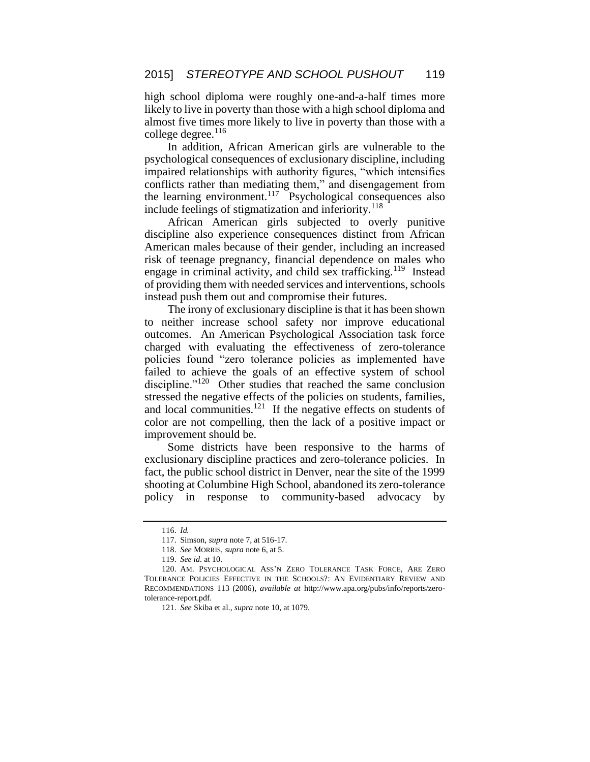high school diploma were roughly one-and-a-half times more likely to live in poverty than those with a high school diploma and almost five times more likely to live in poverty than those with a college degree. $116$ 

In addition, African American girls are vulnerable to the psychological consequences of exclusionary discipline, including impaired relationships with authority figures, "which intensifies conflicts rather than mediating them," and disengagement from the learning environment.<sup>117</sup> Psychological consequences also include feelings of stigmatization and inferiority. $118$ 

African American girls subjected to overly punitive discipline also experience consequences distinct from African American males because of their gender, including an increased risk of teenage pregnancy, financial dependence on males who engage in criminal activity, and child sex trafficking.<sup>119</sup> Instead of providing them with needed services and interventions, schools instead push them out and compromise their futures.

The irony of exclusionary discipline is that it has been shown to neither increase school safety nor improve educational outcomes. An American Psychological Association task force charged with evaluating the effectiveness of zero-tolerance policies found "zero tolerance policies as implemented have failed to achieve the goals of an effective system of school discipline."<sup>120</sup> Other studies that reached the same conclusion stressed the negative effects of the policies on students, families, and local communities. $^{121}$  If the negative effects on students of color are not compelling, then the lack of a positive impact or improvement should be.

Some districts have been responsive to the harms of exclusionary discipline practices and zero-tolerance policies. In fact, the public school district in Denver, near the site of the 1999 shooting at Columbine High School, abandoned its zero-tolerance policy in response to community-based advocacy by

<sup>116.</sup> *Id.*

<sup>117.</sup> Simson, *supra* note 7, at 516-17.

<sup>118.</sup> *See* MORRIS, *supra* note 6, at 5.

<sup>119.</sup> *See id.* at 10.

<sup>120.</sup> AM. PSYCHOLOGICAL ASS'N ZERO TOLERANCE TASK FORCE, ARE ZERO TOLERANCE POLICIES EFFECTIVE IN THE SCHOOLS?: AN EVIDENTIARY REVIEW AND RECOMMENDATIONS 113 (2006), *available at* http://www.apa.org/pubs/info/reports/zerotolerance-report.pdf.

<sup>121.</sup> *See* Skiba et al., *supra* note 10, at 1079.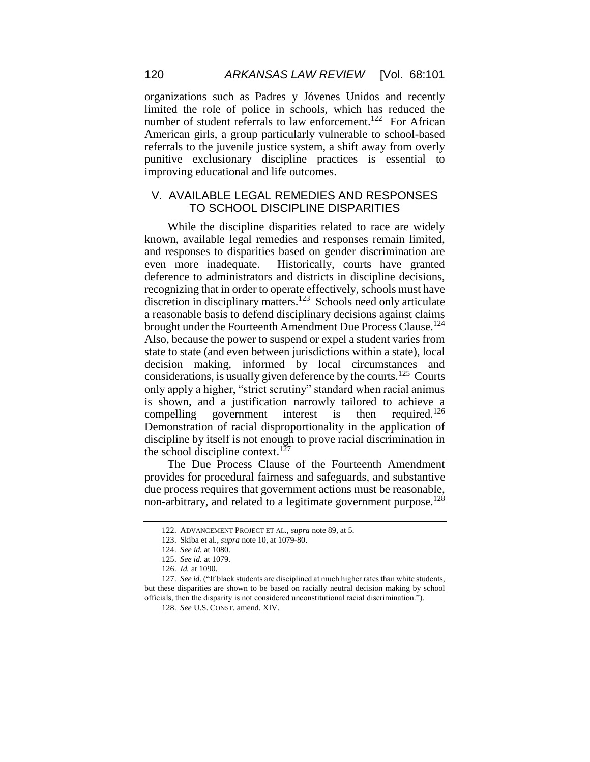organizations such as Padres y Jóvenes Unidos and recently limited the role of police in schools, which has reduced the number of student referrals to law enforcement.<sup>122</sup> For African American girls, a group particularly vulnerable to school-based referrals to the juvenile justice system, a shift away from overly punitive exclusionary discipline practices is essential to improving educational and life outcomes.

### V. AVAILABLE LEGAL REMEDIES AND RESPONSES TO SCHOOL DISCIPLINE DISPARITIES

While the discipline disparities related to race are widely known, available legal remedies and responses remain limited, and responses to disparities based on gender discrimination are even more inadequate. Historically, courts have granted deference to administrators and districts in discipline decisions, recognizing that in order to operate effectively, schools must have discretion in disciplinary matters.<sup>123</sup> Schools need only articulate a reasonable basis to defend disciplinary decisions against claims brought under the Fourteenth Amendment Due Process Clause.<sup>124</sup> Also, because the power to suspend or expel a student varies from state to state (and even between jurisdictions within a state), local decision making, informed by local circumstances and considerations, is usually given deference by the courts.<sup>125</sup> Courts only apply a higher, "strict scrutiny" standard when racial animus is shown, and a justification narrowly tailored to achieve a compelling government interest is then required. $126$ Demonstration of racial disproportionality in the application of discipline by itself is not enough to prove racial discrimination in the school discipline context.<sup>127</sup>

The Due Process Clause of the Fourteenth Amendment provides for procedural fairness and safeguards, and substantive due process requires that government actions must be reasonable, non-arbitrary, and related to a legitimate government purpose.<sup>128</sup>

<sup>122.</sup> ADVANCEMENT PROJECT ET AL., *supra* note 89, at 5.

<sup>123.</sup> Skiba et al., *supra* note 10, at 1079-80.

<sup>124.</sup> *See id.* at 1080.

<sup>125.</sup> *See id.* at 1079.

<sup>126.</sup> *Id.* at 1090.

<sup>127.</sup> *See id.* ("If black students are disciplined at much higher rates than white students, but these disparities are shown to be based on racially neutral decision making by school officials, then the disparity is not considered unconstitutional racial discrimination.").

<sup>128.</sup> *See* U.S. CONST. amend. XIV.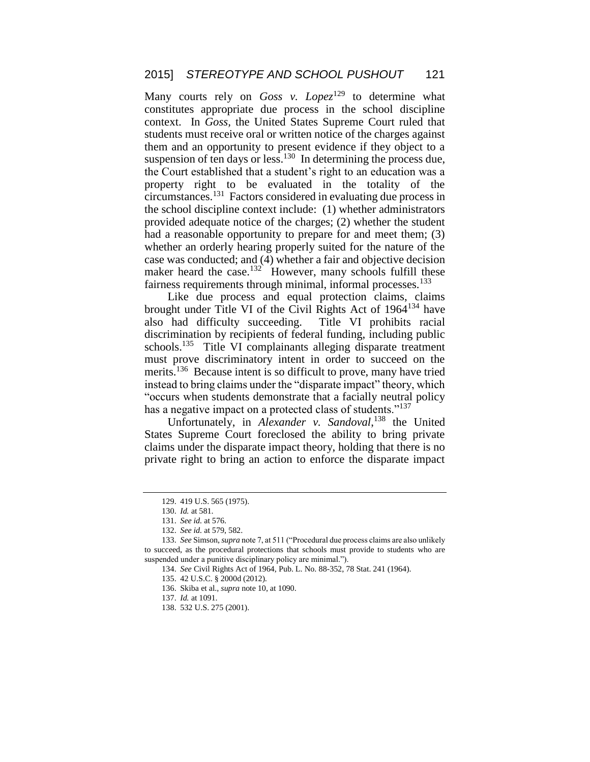Many courts rely on *Goss v. Lopez*<sup>129</sup> to determine what constitutes appropriate due process in the school discipline context. In *Goss,* the United States Supreme Court ruled that students must receive oral or written notice of the charges against them and an opportunity to present evidence if they object to a suspension of ten days or less. $130$  In determining the process due, the Court established that a student's right to an education was a property right to be evaluated in the totality of the circumstances.<sup>131</sup> Factors considered in evaluating due process in the school discipline context include: (1) whether administrators provided adequate notice of the charges; (2) whether the student had a reasonable opportunity to prepare for and meet them; (3) whether an orderly hearing properly suited for the nature of the case was conducted; and (4) whether a fair and objective decision maker heard the case.<sup>132</sup> However, many schools fulfill these fairness requirements through minimal, informal processes.<sup>133</sup>

Like due process and equal protection claims, claims brought under Title VI of the Civil Rights Act of 1964<sup>134</sup> have also had difficulty succeeding. Title VI prohibits racial discrimination by recipients of federal funding, including public schools.<sup>135</sup> Title VI complainants alleging disparate treatment must prove discriminatory intent in order to succeed on the merits.<sup>136</sup> Because intent is so difficult to prove, many have tried instead to bring claims under the "disparate impact" theory, which "occurs when students demonstrate that a facially neutral policy has a negative impact on a protected class of students."<sup>137</sup>

Unfortunately, in *Alexander v. Sandoval*, <sup>138</sup> the United States Supreme Court foreclosed the ability to bring private claims under the disparate impact theory, holding that there is no private right to bring an action to enforce the disparate impact

<sup>129.</sup> 419 U.S. 565 (1975).

<sup>130.</sup> *Id.* at 581.

<sup>131.</sup> *See id.* at 576.

<sup>132.</sup> *See id.* at 579, 582.

<sup>133.</sup> *See* Simson, *supra* note 7, at 511 ("Procedural due process claims are also unlikely to succeed, as the procedural protections that schools must provide to students who are suspended under a punitive disciplinary policy are minimal.").

<sup>134.</sup> *See* Civil Rights Act of 1964, Pub. L. No. 88-352, 78 Stat. 241 (1964).

<sup>135.</sup> 42 U.S.C. § 2000d (2012).

<sup>136.</sup> Skiba et al., *supra* note 10, at 1090.

<sup>137.</sup> *Id.* at 1091.

<sup>138.</sup> 532 U.S. 275 (2001).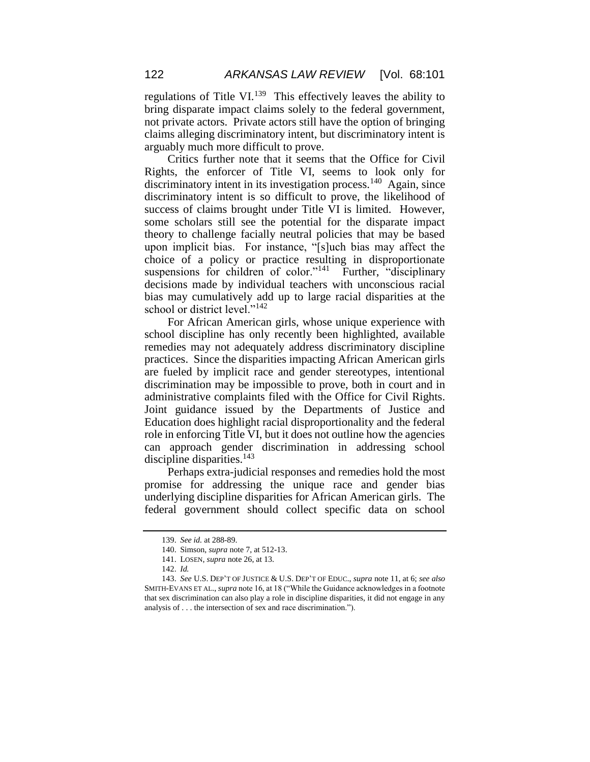regulations of Title VI. $^{139}$  This effectively leaves the ability to bring disparate impact claims solely to the federal government, not private actors. Private actors still have the option of bringing claims alleging discriminatory intent, but discriminatory intent is arguably much more difficult to prove.

Critics further note that it seems that the Office for Civil Rights, the enforcer of Title VI, seems to look only for discriminatory intent in its investigation process.<sup>140</sup> Again, since discriminatory intent is so difficult to prove, the likelihood of success of claims brought under Title VI is limited. However, some scholars still see the potential for the disparate impact theory to challenge facially neutral policies that may be based upon implicit bias. For instance, "[s]uch bias may affect the choice of a policy or practice resulting in disproportionate suspensions for children of color."<sup>141</sup> Further, "disciplinary decisions made by individual teachers with unconscious racial bias may cumulatively add up to large racial disparities at the school or district level."<sup>142</sup>

For African American girls, whose unique experience with school discipline has only recently been highlighted, available remedies may not adequately address discriminatory discipline practices. Since the disparities impacting African American girls are fueled by implicit race and gender stereotypes, intentional discrimination may be impossible to prove, both in court and in administrative complaints filed with the Office for Civil Rights. Joint guidance issued by the Departments of Justice and Education does highlight racial disproportionality and the federal role in enforcing Title VI, but it does not outline how the agencies can approach gender discrimination in addressing school discipline disparities.<sup>143</sup>

Perhaps extra-judicial responses and remedies hold the most promise for addressing the unique race and gender bias underlying discipline disparities for African American girls. The federal government should collect specific data on school

<sup>139.</sup> *See id.* at 288-89.

<sup>140.</sup> Simson, *supra* note 7, at 512-13.

<sup>141.</sup> LOSEN, *supra* note 26, at 13.

<sup>142.</sup> *Id.*

<sup>143.</sup> *See* U.S. DEP'T OF JUSTICE & U.S. DEP'T OF EDUC., *supra* note 11, at 6; *see also*  SMITH-EVANS ET AL., *supra* note 16, at 18 ("While the Guidance acknowledges in a footnote that sex discrimination can also play a role in discipline disparities, it did not engage in any analysis of . . . the intersection of sex and race discrimination.").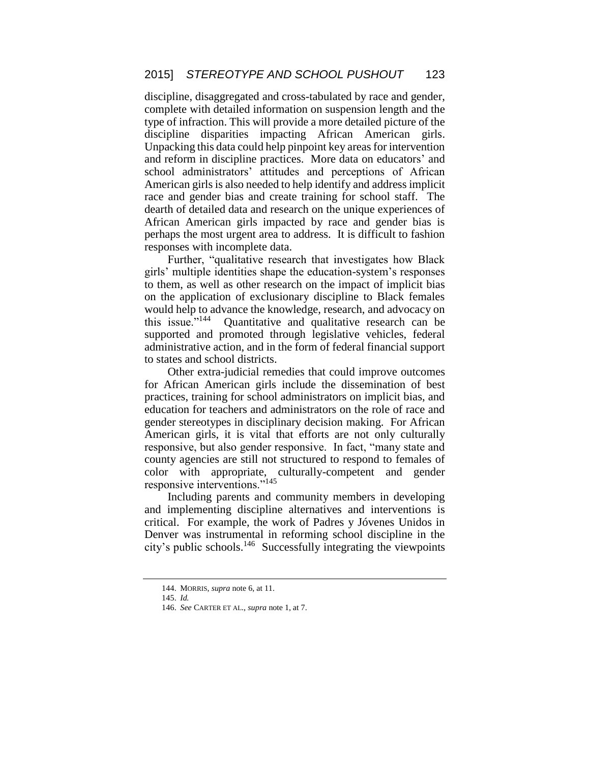discipline, disaggregated and cross-tabulated by race and gender, complete with detailed information on suspension length and the type of infraction. This will provide a more detailed picture of the discipline disparities impacting African American girls. Unpacking this data could help pinpoint key areas for intervention and reform in discipline practices. More data on educators' and school administrators' attitudes and perceptions of African American girls is also needed to help identify and address implicit race and gender bias and create training for school staff. The dearth of detailed data and research on the unique experiences of African American girls impacted by race and gender bias is perhaps the most urgent area to address. It is difficult to fashion responses with incomplete data.

Further, "qualitative research that investigates how Black girls' multiple identities shape the education-system's responses to them, as well as other research on the impact of implicit bias on the application of exclusionary discipline to Black females would help to advance the knowledge, research, and advocacy on this issue." $144$  Quantitative and qualitative research can be supported and promoted through legislative vehicles, federal administrative action, and in the form of federal financial support to states and school districts.

Other extra-judicial remedies that could improve outcomes for African American girls include the dissemination of best practices, training for school administrators on implicit bias, and education for teachers and administrators on the role of race and gender stereotypes in disciplinary decision making. For African American girls, it is vital that efforts are not only culturally responsive, but also gender responsive. In fact, "many state and county agencies are still not structured to respond to females of color with appropriate, culturally-competent and gender responsive interventions."<sup>145</sup>

Including parents and community members in developing and implementing discipline alternatives and interventions is critical. For example, the work of Padres y Jóvenes Unidos in Denver was instrumental in reforming school discipline in the city's public schools.<sup>146</sup> Successfully integrating the viewpoints

<sup>144.</sup> MORRIS, *supra* note 6, at 11.

<sup>145.</sup> *Id.*

<sup>146.</sup> *See* CARTER ET AL., *supra* note 1, at 7.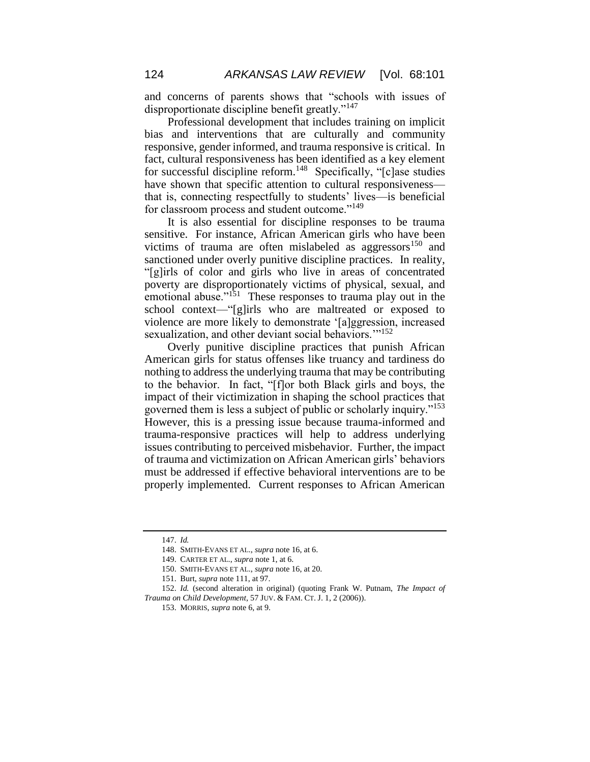and concerns of parents shows that "schools with issues of disproportionate discipline benefit greatly."<sup>147</sup>

Professional development that includes training on implicit bias and interventions that are culturally and community responsive, gender informed, and trauma responsive is critical. In fact, cultural responsiveness has been identified as a key element for successful discipline reform.<sup>148</sup> Specifically, "[c]ase studies have shown that specific attention to cultural responsiveness that is, connecting respectfully to students' lives—is beneficial for classroom process and student outcome."<sup>149</sup>

It is also essential for discipline responses to be trauma sensitive. For instance, African American girls who have been victims of trauma are often mislabeled as aggressors<sup>150</sup> and sanctioned under overly punitive discipline practices. In reality, "[g]irls of color and girls who live in areas of concentrated poverty are disproportionately victims of physical, sexual, and emotional abuse."<sup>151</sup> These responses to trauma play out in the school context—"[g]irls who are maltreated or exposed to violence are more likely to demonstrate '[a]ggression, increased sexualization, and other deviant social behaviors."<sup>152</sup>

Overly punitive discipline practices that punish African American girls for status offenses like truancy and tardiness do nothing to address the underlying trauma that may be contributing to the behavior. In fact, "[f]or both Black girls and boys, the impact of their victimization in shaping the school practices that governed them is less a subject of public or scholarly inquiry."<sup>153</sup> However, this is a pressing issue because trauma-informed and trauma-responsive practices will help to address underlying issues contributing to perceived misbehavior. Further, the impact of trauma and victimization on African American girls' behaviors must be addressed if effective behavioral interventions are to be properly implemented. Current responses to African American

<sup>147.</sup> *Id.* 

<sup>148.</sup> SMITH-EVANS ET AL., *supra* note 16, at 6.

<sup>149.</sup> CARTER ET AL., *supra* note 1, at 6.

<sup>150.</sup> SMITH-EVANS ET AL., *supra* note 16, at 20.

<sup>151.</sup> Burt, *supra* note 111, at 97.

<sup>152.</sup> *Id.* (second alteration in original) (quoting Frank W. Putnam, *The Impact of Trauma on Child Development*, 57 JUV. & FAM. CT. J. 1, 2 (2006)).

<sup>153.</sup> MORRIS, *supra* note 6, at 9.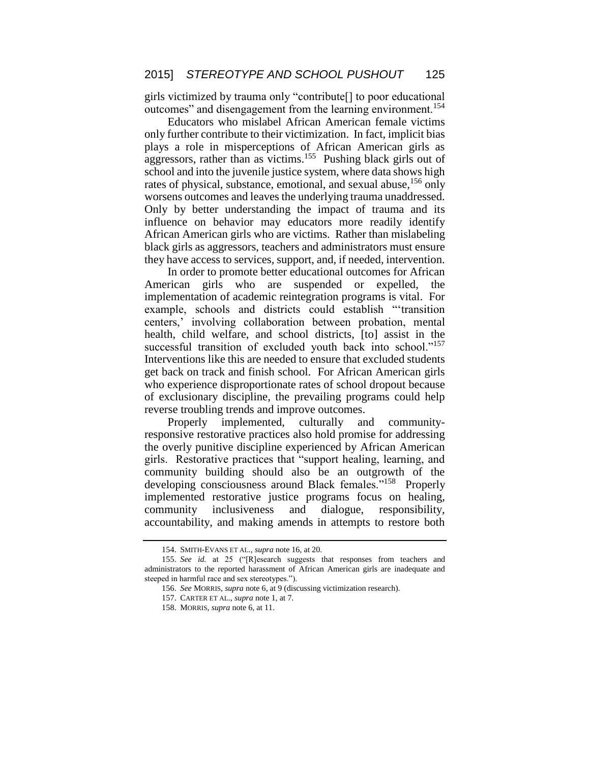girls victimized by trauma only "contribute[] to poor educational outcomes" and disengagement from the learning environment.<sup>154</sup>

Educators who mislabel African American female victims only further contribute to their victimization. In fact, implicit bias plays a role in misperceptions of African American girls as aggressors, rather than as victims.<sup>155</sup> Pushing black girls out of school and into the juvenile justice system, where data shows high rates of physical, substance, emotional, and sexual abuse, <sup>156</sup> only worsens outcomes and leaves the underlying trauma unaddressed. Only by better understanding the impact of trauma and its influence on behavior may educators more readily identify African American girls who are victims. Rather than mislabeling black girls as aggressors, teachers and administrators must ensure they have access to services, support, and, if needed, intervention.

In order to promote better educational outcomes for African American girls who are suspended or expelled, the implementation of academic reintegration programs is vital. For example, schools and districts could establish "'transition centers,' involving collaboration between probation, mental health, child welfare, and school districts, [to] assist in the successful transition of excluded youth back into school."<sup>157</sup> Interventions like this are needed to ensure that excluded students get back on track and finish school. For African American girls who experience disproportionate rates of school dropout because of exclusionary discipline, the prevailing programs could help reverse troubling trends and improve outcomes.

Properly implemented, culturally and communityresponsive restorative practices also hold promise for addressing the overly punitive discipline experienced by African American girls. Restorative practices that "support healing, learning, and community building should also be an outgrowth of the developing consciousness around Black females."<sup>158</sup> Properly implemented restorative justice programs focus on healing, community inclusiveness and dialogue, responsibility, accountability, and making amends in attempts to restore both

<sup>154.</sup> SMITH-EVANS ET AL., *supra* note 16, at 20.

<sup>155.</sup> *See id.* at 25 ("[R]esearch suggests that responses from teachers and administrators to the reported harassment of African American girls are inadequate and steeped in harmful race and sex stereotypes.").

<sup>156.</sup> *See* MORRIS, *supra* note 6, at 9 (discussing victimization research).

<sup>157.</sup> CARTER ET AL., *supra* note 1, at 7.

<sup>158.</sup> MORRIS, *supra* note 6, at 11.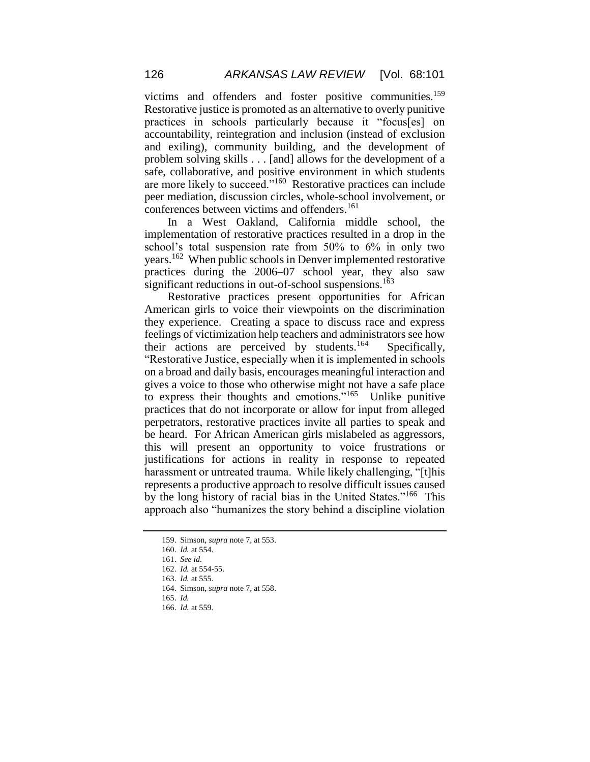victims and offenders and foster positive communities.<sup>159</sup> Restorative justice is promoted as an alternative to overly punitive practices in schools particularly because it "focus[es] on accountability, reintegration and inclusion (instead of exclusion and exiling), community building, and the development of problem solving skills . . . [and] allows for the development of a safe, collaborative, and positive environment in which students are more likely to succeed."<sup>160</sup> Restorative practices can include peer mediation, discussion circles, whole-school involvement, or conferences between victims and offenders.<sup>161</sup>

In a West Oakland, California middle school, the implementation of restorative practices resulted in a drop in the school's total suspension rate from 50% to 6% in only two years.<sup>162</sup> When public schools in Denver implemented restorative practices during the 2006–07 school year, they also saw significant reductions in out-of-school suspensions.<sup>163</sup>

Restorative practices present opportunities for African American girls to voice their viewpoints on the discrimination they experience. Creating a space to discuss race and express feelings of victimization help teachers and administrators see how their actions are perceived by students.<sup>164</sup> Specifically, "Restorative Justice, especially when it is implemented in schools on a broad and daily basis, encourages meaningful interaction and gives a voice to those who otherwise might not have a safe place to express their thoughts and emotions."<sup>165</sup> Unlike punitive practices that do not incorporate or allow for input from alleged perpetrators, restorative practices invite all parties to speak and be heard. For African American girls mislabeled as aggressors, this will present an opportunity to voice frustrations or justifications for actions in reality in response to repeated harassment or untreated trauma. While likely challenging, "[t]his represents a productive approach to resolve difficult issues caused by the long history of racial bias in the United States."<sup>166</sup> This approach also "humanizes the story behind a discipline violation

<sup>159.</sup> Simson, *supra* note 7, at 553.

<sup>160.</sup> *Id.* at 554.

<sup>161.</sup> *See id.*

<sup>162.</sup> *Id.* at 554-55.

<sup>163.</sup> *Id.* at 555.

<sup>164.</sup> Simson, *supra* note 7, at 558.

<sup>165.</sup> *Id.* 

<sup>166.</sup> *Id.* at 559.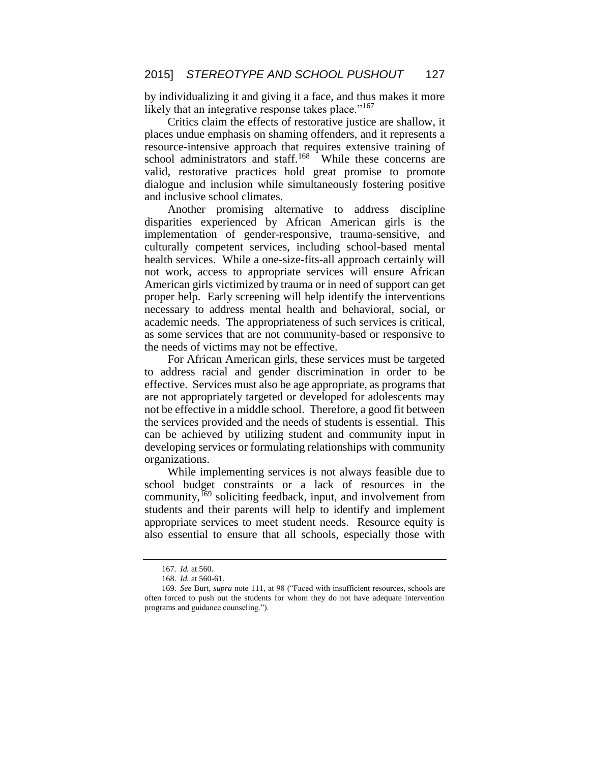by individualizing it and giving it a face, and thus makes it more likely that an integrative response takes place."<sup>167</sup>

Critics claim the effects of restorative justice are shallow, it places undue emphasis on shaming offenders, and it represents a resource-intensive approach that requires extensive training of school administrators and staff.<sup>168</sup> While these concerns are valid, restorative practices hold great promise to promote dialogue and inclusion while simultaneously fostering positive and inclusive school climates.

Another promising alternative to address discipline disparities experienced by African American girls is the implementation of gender-responsive, trauma-sensitive, and culturally competent services, including school-based mental health services. While a one-size-fits-all approach certainly will not work, access to appropriate services will ensure African American girls victimized by trauma or in need of support can get proper help. Early screening will help identify the interventions necessary to address mental health and behavioral, social, or academic needs. The appropriateness of such services is critical, as some services that are not community-based or responsive to the needs of victims may not be effective.

For African American girls, these services must be targeted to address racial and gender discrimination in order to be effective. Services must also be age appropriate, as programs that are not appropriately targeted or developed for adolescents may not be effective in a middle school. Therefore, a good fit between the services provided and the needs of students is essential. This can be achieved by utilizing student and community input in developing services or formulating relationships with community organizations.

While implementing services is not always feasible due to school budget constraints or a lack of resources in the community, <sup>169</sup> soliciting feedback, input, and involvement from students and their parents will help to identify and implement appropriate services to meet student needs. Resource equity is also essential to ensure that all schools, especially those with

<sup>167</sup>*. Id.* at 560.

<sup>168.</sup> *Id.* at 560-61.

<sup>169.</sup> *See* Burt, *supra* note 111, at 98 ("Faced with insufficient resources, schools are often forced to push out the students for whom they do not have adequate intervention programs and guidance counseling.").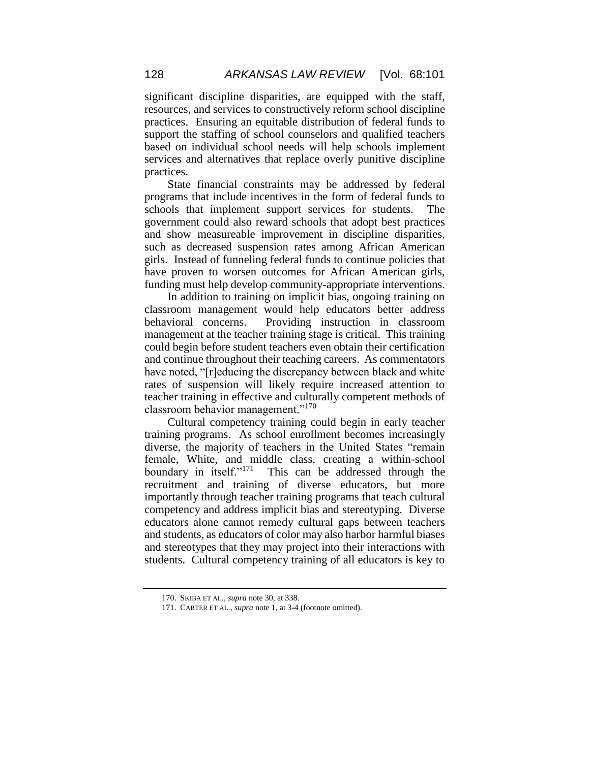significant discipline disparities, are equipped with the staff, resources, and services to constructively reform school discipline practices. Ensuring an equitable distribution of federal funds to support the staffing of school counselors and qualified teachers based on individual school needs will help schools implement services and alternatives that replace overly punitive discipline practices.

State financial constraints may be addressed by federal programs that include incentives in the form of federal funds to schools that implement support services for students. The government could also reward schools that adopt best practices and show measureable improvement in discipline disparities, such as decreased suspension rates among African American girls. Instead of funneling federal funds to continue policies that have proven to worsen outcomes for African American girls, funding must help develop community-appropriate interventions.

In addition to training on implicit bias, ongoing training on classroom management would help educators better address behavioral concerns. Providing instruction in classroom management at the teacher training stage is critical. This training could begin before student teachers even obtain their certification and continue throughout their teaching careers. As commentators have noted, "[r]educing the discrepancy between black and white rates of suspension will likely require increased attention to teacher training in effective and culturally competent methods of classroom behavior management."<sup>170</sup>

Cultural competency training could begin in early teacher training programs. As school enrollment becomes increasingly diverse, the majority of teachers in the United States "remain female, White, and middle class, creating a within-school boundary in itself."<sup>171</sup> This can be addressed through the recruitment and training of diverse educators, but more importantly through teacher training programs that teach cultural competency and address implicit bias and stereotyping. Diverse educators alone cannot remedy cultural gaps between teachers and students, as educators of color may also harbor harmful biases and stereotypes that they may project into their interactions with students. Cultural competency training of all educators is key to

<sup>170.</sup> SKIBA ET AL., *supra* note 30, at 338.

<sup>171.</sup> CARTER ET AL., *supra* note 1, at 3-4 (footnote omitted).